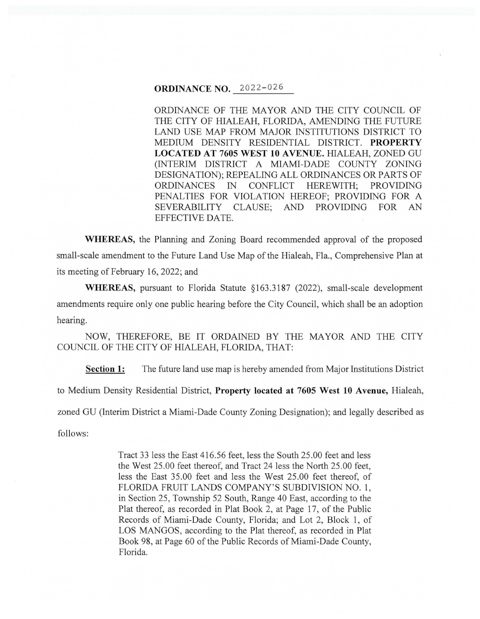### **ORDINANCE NO.** 2022-026

ORDINANCE OF THE MAYOR AND THE CITY COUNCIL OF THE CITY OF HIALEAH, FLORIDA, AMENDING THE FUTURE LAND USE MAP FROM MAJOR INSTITUTIONS DISTRICT TO MEDIUM DENSITY RESIDENTIAL DISTRICT. **PROPERTY LOCATED AT 7605 WEST 10 A VENUE.** HIALEAH, ZONED GU (INTERIM DISTRICT A MIAMI-DADE COUNTY ZONING DESIGNATION); REPEALING ALL ORDINANCES OR PARTS OF ORDINANCES IN CONFLICT HEREWITH; PROVIDING PENALTIES FOR VIOLATION HEREOF; PROVIDING FOR A SEVERABILITY CLAUSE; AND PROVIDING FOR AN EFFECTIVE DATE.

**WHEREAS,** the Planning and Zoning Board recommended approval of the proposed small-scale amendment to the Future Land Use Map of the Hialeah, Fla., Comprehensive Plan at its meeting of February 16, 2022; and

**WHEREAS,** pursuant to Florida Statute § 163.3187 (2022), small-scale development amendments require only one public hearing before the City Council, which shall be an adoption hearing.

NOW, THEREFORE, BE IT ORDAINED BY THE MAYOR AND THE CITY COUNCIL OF THE CITY OF HIALEAH, FLORIDA, THAT:

**Section 1:** The future land use map is hereby amended from Major Institutions District

to Medium Density Residential District, **Property located at 7605 West 10 Avenue,** Hialeah,

zoned GU (Interim District a Miami-Dade County Zoning Designation); and legally described as

follows:

Tract 33 less the East 416.56 feet, less the South 25 .00 feet and less the West 25.00 feet thereof, and Tract 24 less the North 25.00 feet, less the East 35.00 feet and less the West 25.00 feet thereof, of FLORIDA FRUIT LANDS COMPANY'S SUBDIVISION NO. 1, in Section 25, Township 52 South, Range 40 East, according to the Plat thereof, as recorded in Plat Book 2, at Page 17, of the Public Records of Miami-Dade County, Florida; and Lot 2, Block **1,** of LOS MANGOS, according to the Plat thereof, as recorded in Plat Book 98, at Page 60 of the Public Records of Miami-Dade County, Florida.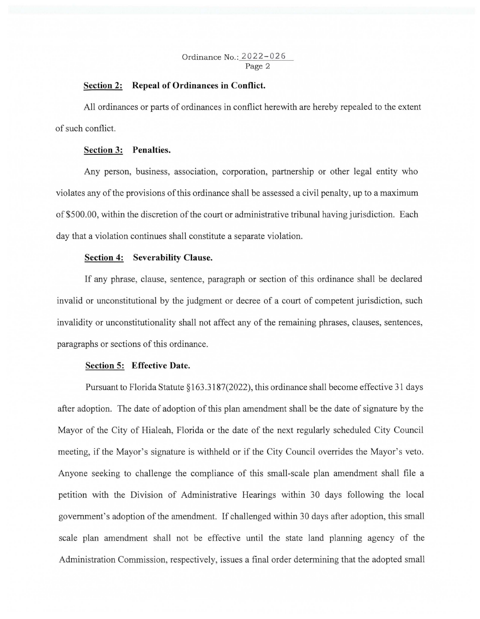## **Section 2: Repeal of Ordinances in Conflict.**

All ordinances or parts of ordinances in conflict herewith are hereby repealed to the extent of such conflict.

#### **Section 3: Penalties.**

Any person, business, association, corporation, partnership or other legal entity who violates any of the provisions of this ordinance shall be assessed a civil penalty, up to a maximum of \$500.00, within the discretion of the court or administrative tribunal having jurisdiction. Each day that a violation continues shall constitute a separate violation.

### **Section 4: Severability Clause.**

If any phrase, clause, sentence, paragraph or section of this ordinance shall be declared invalid or unconstitutional by the judgment or decree of a court of competent jurisdiction, such invalidity or unconstitutionality shall not affect any of the remaining phrases, clauses, sentences, paragraphs or sections of this ordinance.

# **Section 5: Effective Date.**

Pursuant to Florida Statute§ 163 .3187(2022), this ordinance shall become effective 31 days after adoption. The date of adoption of this plan amendment shall be the date of signature by the Mayor of the City of Hialeah, Florida or the date of the next regularly scheduled City Council meeting, if the Mayor's signature is withheld or if the City Council overrides the Mayor's veto. Anyone seeking to challenge the compliance of this small-scale plan amendment shall file a petition with the Division of Administrative Hearings within 30 days following the local government's adoption of the amendment. If challenged within 30 days after adoption, this small scale plan amendment shall not be effective until the state land planning agency of the Administration Commission, respectively, issues a final order determining that the adopted small